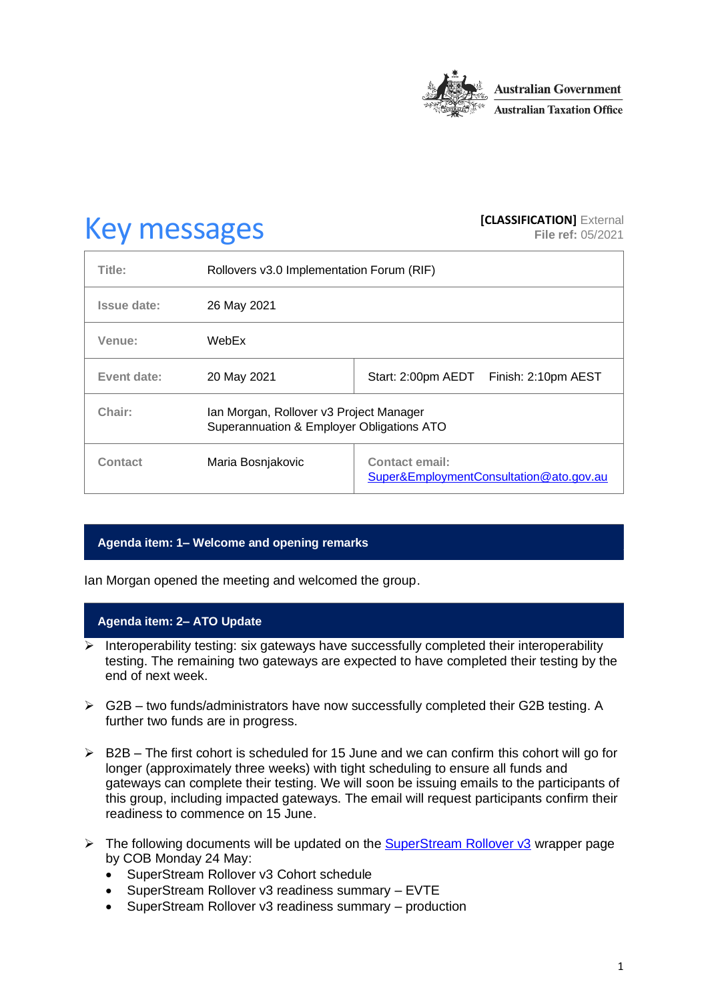

# **Key messages [CLASSIFICATION]** External **[CLASSIFICATION]** External

**File ref:** 05/2021

| Title:      | Rollovers v3.0 Implementation Forum (RIF)                                            |                                                           |  |
|-------------|--------------------------------------------------------------------------------------|-----------------------------------------------------------|--|
| Issue date: | 26 May 2021                                                                          |                                                           |  |
| Venue:      | WebEx                                                                                |                                                           |  |
| Event date: | 20 May 2021                                                                          | Start: 2:00pm AEDT<br>Finish: 2:10pm AEST                 |  |
| Chair:      | Ian Morgan, Rollover v3 Project Manager<br>Superannuation & Employer Obligations ATO |                                                           |  |
| Contact     | Maria Bosnjakovic                                                                    | Contact email:<br>Super&EmploymentConsultation@ato.gov.au |  |

## **Agenda item: 1– Welcome and opening remarks**

Ian Morgan opened the meeting and welcomed the group.

### **Agenda item: 2– ATO Update**

- $\triangleright$  Interoperability testing: six gateways have successfully completed their interoperability testing. The remaining two gateways are expected to have completed their testing by the end of next week.
- $\triangleright$  G2B two funds/administrators have now successfully completed their G2B testing. A further two funds are in progress.
- $\triangleright$  B2B The first cohort is scheduled for 15 June and we can confirm this cohort will go for longer (approximately three weeks) with tight scheduling to ensure all funds and gateways can complete their testing. We will soon be issuing emails to the participants of this group, including impacted gateways. The email will request participants confirm their readiness to commence on 15 June.
- ➢ The following documents will be updated on the [SuperStream Rollover v3](https://www.ato.gov.au/Super/Sup/SuperStream-Rollover-v3/) wrapper page by COB Monday 24 May:
	- SuperStream Rollover v3 Cohort schedule
	- SuperStream Rollover v3 readiness summary EVTE
	- SuperStream Rollover v3 readiness summary production